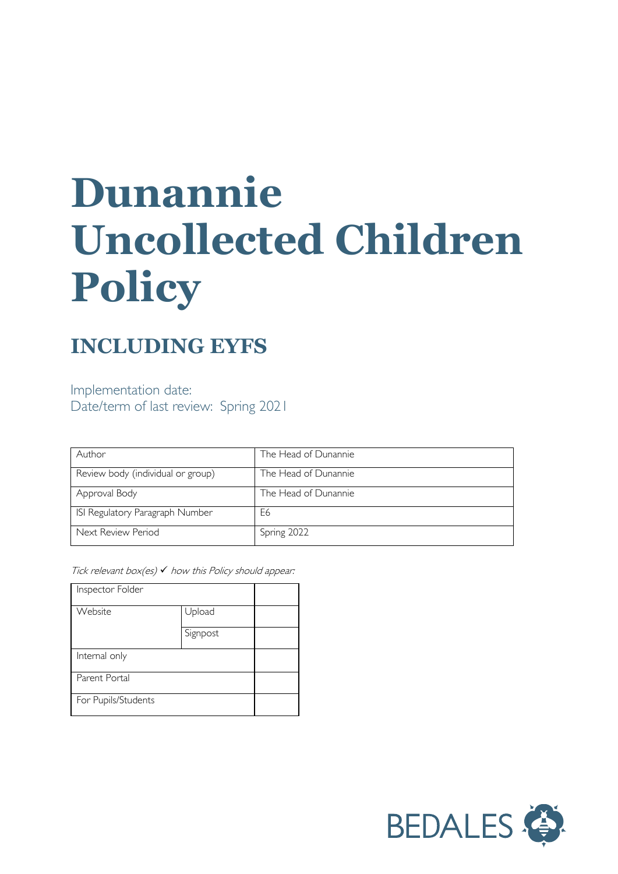# **Dunannie Uncollected Children Policy**

## **INCLUDING EYFS**

Implementation date: Date/term of last review: Spring 2021

| Author                            | The Head of Dunannie |
|-----------------------------------|----------------------|
| Review body (individual or group) | The Head of Dunannie |
| Approval Body                     | The Head of Dunannie |
| ISI Regulatory Paragraph Number   | E6                   |
| Next Review Period                | Spring 2022          |

Tick relevant box(es)  $\checkmark$  how this Policy should appear:

| Inspector Folder    |          |  |
|---------------------|----------|--|
| Website             | Upload   |  |
|                     | Signpost |  |
| Internal only       |          |  |
| Parent Portal       |          |  |
| For Pupils/Students |          |  |

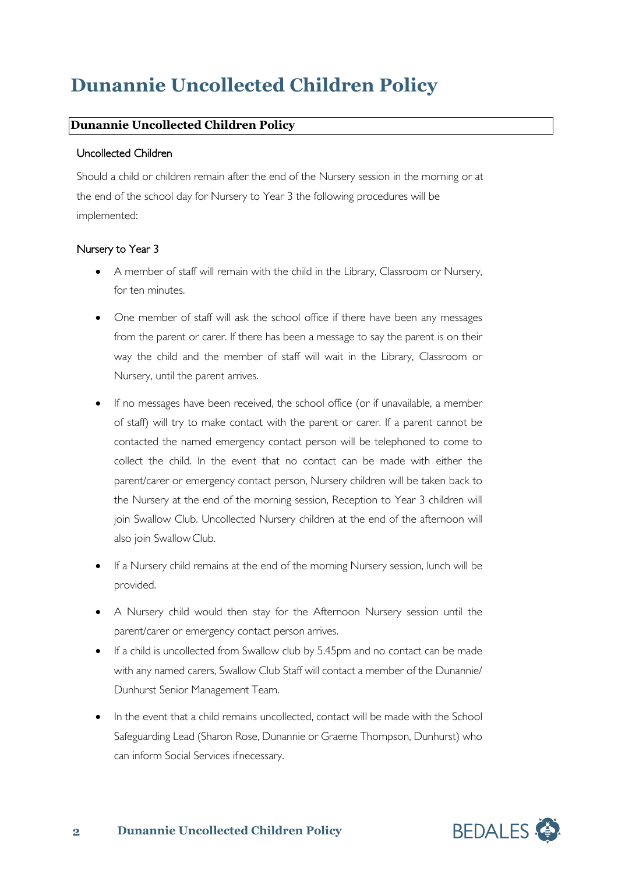# **Dunannie Uncollected Children Policy**

## **Dunannie Uncollected Children Policy**

#### Uncollected Children

Should a child or children remain after the end of the Nursery session in the morning or at the end of the school day for Nursery to Year 3 the following procedures will be implemented:

### Nursery to Year 3

- A member of staff will remain with the child in the Library, Classroom or Nursery, for ten minutes.
- One member of staff will ask the school office if there have been any messages from the parent or carer. If there has been a message to say the parent is on their way the child and the member of staff will wait in the Library, Classroom or Nursery, until the parent arrives.
- If no messages have been received, the school office (or if unavailable, a member of staff) will try to make contact with the parent or carer. If a parent cannot be contacted the named emergency contact person will be telephoned to come to collect the child. In the event that no contact can be made with either the parent/carer or emergency contact person, Nursery children will be taken back to the Nursery at the end of the morning session, Reception to Year 3 children will join Swallow Club. Uncollected Nursery children at the end of the afternoon will also join Swallow Club.
- If a Nursery child remains at the end of the morning Nursery session, lunch will be provided.
- A Nursery child would then stay for the Afternoon Nursery session until the parent/carer or emergency contact person arrives.
- If a child is uncollected from Swallow club by 5.45pm and no contact can be made with any named carers, Swallow Club Staff will contact a member of the Dunannie/ Dunhurst Senior Management Team.
- In the event that a child remains uncollected, contact will be made with the School Safeguarding Lead (Sharon Rose, Dunannie or Graeme Thompson, Dunhurst) who can inform Social Services if necessary.